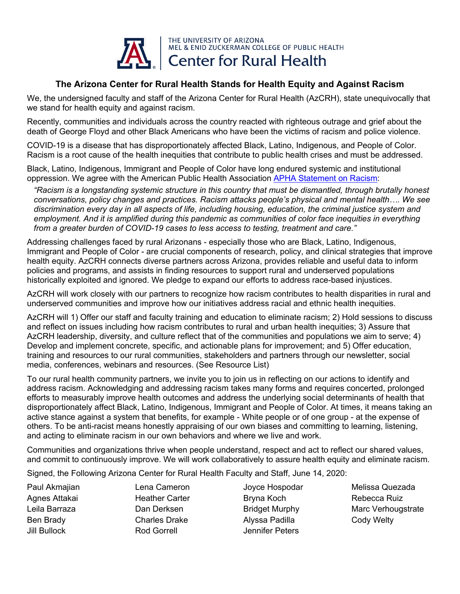

## **The Arizona Center for Rural Health Stands for Health Equity and Against Racism**

We, the undersigned faculty and staff of the Arizona Center for Rural Health (AzCRH), state unequivocally that we stand for health equity and against racism.

Recently, communities and individuals across the country reacted with righteous outrage and grief about the death of George Floyd and other Black Americans who have been the victims of racism and police violence.

COVID-19 is a disease that has disproportionately affected Black, Latino, Indigenous, and People of Color. Racism is a root cause of the health inequities that contribute to public health crises and must be addressed.

Black, Latino, Indigenous, Immigrant and People of Color have long endured systemic and institutional oppression. We agree with the American Public Health Association [APHA Statement](https://www.apha.org/news-and-media/news-releases/apha-news-releases/2020/racism-is-a-public-health-crisis) on Racism:

*"Racism is a longstanding systemic structure in this country that must be dismantled, through brutally honest conversations, policy changes and practices. Racism attacks people's physical and mental health…. We see discrimination every day in all aspects of life, including housing, education, the criminal justice system and*  employment. And it is amplified during this pandemic as communities of color face inequities in everything *from a greater burden of COVID-19 cases to less access to testing, treatment and care."* 

Addressing challenges faced by rural Arizonans - especially those who are Black, Latino, Indigenous, Immigrant and People of Color - are crucial components of research, policy, and clinical strategies that improve health equity. AzCRH connects diverse partners across Arizona, provides reliable and useful data to inform policies and programs, and assists in finding resources to support rural and underserved populations historically exploited and ignored. We pledge to expand our efforts to address race-based injustices.

AzCRH will work closely with our partners to recognize how racism contributes to health disparities in rural and underserved communities and improve how our initiatives address racial and ethnic health inequities.

AzCRH will 1) Offer our staff and faculty training and education to eliminate racism; 2) Hold sessions to discuss and reflect on issues including how racism contributes to rural and urban health inequities; 3) Assure that AzCRH leadership, diversity, and culture reflect that of the communities and populations we aim to serve; 4) Develop and implement concrete, specific, and actionable plans for improvement; and 5) Offer education, training and resources to our rural communities, stakeholders and partners through our newsletter, social media, conferences, webinars and resources. (See Resource List)

To our rural health community partners, we invite you to join us in reflecting on our actions to identify and address racism. Acknowledging and addressing racism takes many forms and requires concerted, prolonged efforts to measurably improve health outcomes and address the underlying social determinants of health that disproportionately affect Black, Latino, Indigenous, Immigrant and People of Color. At times, it means taking an active stance against a system that benefits, for example - White people or of one group - at the expense of others. To be anti-racist means honestly appraising of our own biases and committing to learning, listening, and acting to eliminate racism in our own behaviors and where we live and work.

Communities and organizations thrive when people understand, respect and act to reflect our shared values, and commit to continuously improve. We will work collaboratively to assure health equity and eliminate racism.

Signed, the Following Arizona Center for Rural Health Faculty and Staff, June 14, 2020:

Paul Akmajian Agnes Attakai Leila Barraza Ben Brady Jill Bullock

Lena Cameron Heather Carter Dan Derksen Charles Drake Rod Gorrell

Joyce Hospodar Bryna Koch Bridget Murphy Alyssa Padilla Jennifer Peters

Melissa Quezada Rebecca Ruiz Marc Verhougstrate Cody Welty